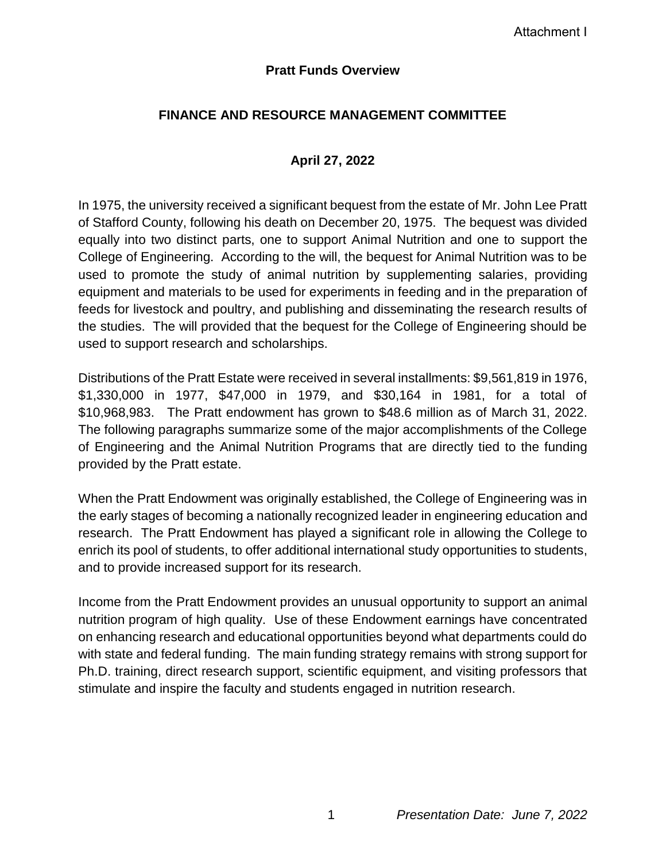## **Pratt Funds Overview**

# **FINANCE AND RESOURCE MANAGEMENT COMMITTEE**

## **April 27, 2022**

In 1975, the university received a significant bequest from the estate of Mr. John Lee Pratt of Stafford County, following his death on December 20, 1975. The bequest was divided equally into two distinct parts, one to support Animal Nutrition and one to support the College of Engineering. According to the will, the bequest for Animal Nutrition was to be used to promote the study of animal nutrition by supplementing salaries, providing equipment and materials to be used for experiments in feeding and in the preparation of feeds for livestock and poultry, and publishing and disseminating the research results of the studies. The will provided that the bequest for the College of Engineering should be used to support research and scholarships.

Distributions of the Pratt Estate were received in several installments: \$9,561,819 in 1976, \$1,330,000 in 1977, \$47,000 in 1979, and \$30,164 in 1981, for a total of \$10,968,983. The Pratt endowment has grown to \$48.6 million as of March 31, 2022. The following paragraphs summarize some of the major accomplishments of the College of Engineering and the Animal Nutrition Programs that are directly tied to the funding provided by the Pratt estate.

When the Pratt Endowment was originally established, the College of Engineering was in the early stages of becoming a nationally recognized leader in engineering education and research. The Pratt Endowment has played a significant role in allowing the College to enrich its pool of students, to offer additional international study opportunities to students, and to provide increased support for its research.

Income from the Pratt Endowment provides an unusual opportunity to support an animal nutrition program of high quality. Use of these Endowment earnings have concentrated on enhancing research and educational opportunities beyond what departments could do with state and federal funding. The main funding strategy remains with strong support for Ph.D. training, direct research support, scientific equipment, and visiting professors that stimulate and inspire the faculty and students engaged in nutrition research.